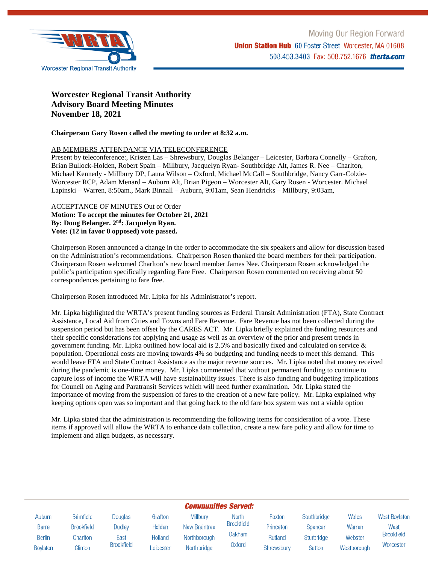

# **Worcester Regional Transit Authority Advisory Board Meeting Minutes November 18, 2021**

# **Chairperson Gary Rosen called the meeting to order at 8:32 a.m.**

# AB MEMBERS ATTENDANCE VIA TELECONFERENCE

Present by teleconference:, Kristen Las – Shrewsbury, Douglas Belanger – Leicester, Barbara Connelly – Grafton, Brian Bullock-Holden, Robert Spain – Millbury, Jacquelyn Ryan- Southbridge Alt, James R. Nee – Charlton, Michael Kennedy - Millbury DP, Laura Wilson – Oxford, Michael McCall – Southbridge, Nancy Garr-Colzie-Worcester RCP, Adam Menard – Auburn Alt, Brian Pigeon – Worcester Alt, Gary Rosen - Worcester. Michael Lapinski – Warren, 8:50am., Mark Binnall – Auburn, 9:01am, Sean Hendricks – Millbury, 9:03am,

## ACCEPTANCE OF MINUTES Out of Order **Motion: To accept the minutes for October 21, 2021 By: Doug Belanger. 2nd: Jacquelyn Ryan. Vote: (12 in favor 0 opposed) vote passed.**

Chairperson Rosen announced a change in the order to accommodate the six speakers and allow for discussion based on the Administration's recommendations. Chairperson Rosen thanked the board members for their participation. Chairperson Rosen welcomed Charlton's new board member James Nee. Chairperson Rosen acknowledged the public's participation specifically regarding Fare Free. Chairperson Rosen commented on receiving about 50 correspondences pertaining to fare free.

Chairperson Rosen introduced Mr. Lipka for his Administrator's report.

Mr. Lipka highlighted the WRTA's present funding sources as Federal Transit Administration (FTA), State Contract Assistance, Local Aid from Cities and Towns and Fare Revenue. Fare Revenue has not been collected during the suspension period but has been offset by the CARES ACT. Mr. Lipka briefly explained the funding resources and their specific considerations for applying and usage as well as an overview of the prior and present trends in government funding. Mr. Lipka outlined how local aid is 2.5% and basically fixed and calculated on service & population. Operational costs are moving towards 4% so budgeting and funding needs to meet this demand. This would leave FTA and State Contract Assistance as the major revenue sources. Mr. Lipka noted that money received during the pandemic is one-time money. Mr. Lipka commented that without permanent funding to continue to capture loss of income the WRTA will have sustainability issues. There is also funding and budgeting implications for Council on Aging and Paratransit Services which will need further examination. Mr. Lipka stated the importance of moving from the suspension of fares to the creation of a new fare policy. Mr. Lipka explained why keeping options open was so important and that going back to the old fare box system was not a viable option

Mr. Lipka stated that the administration is recommending the following items for consideration of a vote. These items if approved will allow the WRTA to enhance data collection, create a new fare policy and allow for time to implement and align budgets, as necessary.

| <b>Communities Served:</b> |                   |                   |                |                      |                   |            |             |             |                      |
|----------------------------|-------------------|-------------------|----------------|----------------------|-------------------|------------|-------------|-------------|----------------------|
| Auburn                     | <b>Brimfield</b>  | Douglas           | Grafton        | Millbury             | <b>North</b>      | Paxton     | Southbridge | Wales       | <b>West Boylston</b> |
| <b>Barre</b>               | <b>Brookfield</b> | Dudley            | Holden         | <b>New Braintree</b> | <b>Brookfield</b> | Princeton  | Spencer     | Warren      | West                 |
| <b>Berlin</b>              | Charlton          | East              | <b>Holland</b> | Northborough         | <b>Oakham</b>     | Rutland    | Sturbridge  | Webster     | <b>Brookfield</b>    |
| <b>Boylston</b>            | Clinton           | <b>Brookfield</b> | Leicester      | Northbridge          | Oxford            | Shrewsbury | Sutton      | Westborough | Worcester            |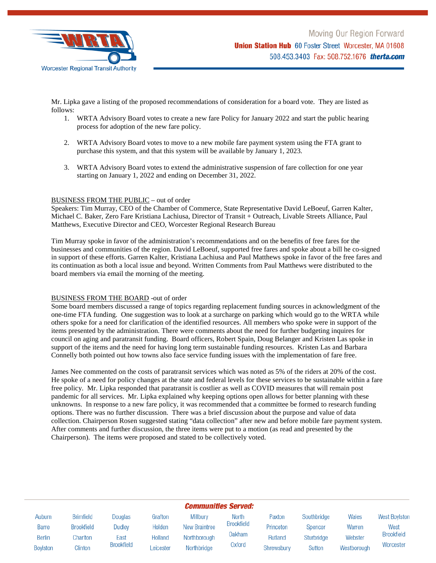

Mr. Lipka gave a listing of the proposed recommendations of consideration for a board vote. They are listed as follows:

- 1. WRTA Advisory Board votes to create a new fare Policy for January 2022 and start the public hearing process for adoption of the new fare policy.
- 2. WRTA Advisory Board votes to move to a new mobile fare payment system using the FTA grant to purchase this system, and that this system will be available by January 1, 2023.
- 3. WRTA Advisory Board votes to extend the administrative suspension of fare collection for one year starting on January 1, 2022 and ending on December 31, 2022.

## BUSINESS FROM THE PUBLIC – out of order

Speakers: Tim Murray, CEO of the Chamber of Commerce, State Representative David LeBoeuf, Garren Kalter, Michael C. Baker, Zero Fare Kristiana Lachiusa, Director of Transit + Outreach, Livable Streets Alliance, Paul Matthews, Executive Director and CEO, Worcester Regional Research Bureau

Tim Murray spoke in favor of the administration's recommendations and on the benefits of free fares for the businesses and communities of the region. David LeBoeuf, supported free fares and spoke about a bill he co-signed in support of these efforts. Garren Kalter, Kristiana Lachiusa and Paul Matthews spoke in favor of the free fares and its continuation as both a local issue and beyond. Written Comments from Paul Matthews were distributed to the board members via email the morning of the meeting.

#### BUSINESS FROM THE BOARD -out of order

Some board members discussed a range of topics regarding replacement funding sources in acknowledgment of the one-time FTA funding. One suggestion was to look at a surcharge on parking which would go to the WRTA while others spoke for a need for clarification of the identified resources. All members who spoke were in support of the items presented by the administration. There were comments about the need for further budgeting inquires for council on aging and paratransit funding. Board officers, Robert Spain, Doug Belanger and Kristen Las spoke in support of the items and the need for having long term sustainable funding resources. Kristen Las and Barbara Connelly both pointed out how towns also face service funding issues with the implementation of fare free.

James Nee commented on the costs of paratransit services which was noted as 5% of the riders at 20% of the cost. He spoke of a need for policy changes at the state and federal levels for these services to be sustainable within a fare free policy. Mr. Lipka responded that paratransit is costlier as well as COVID measures that will remain post pandemic for all services. Mr. Lipka explained why keeping options open allows for better planning with these unknowns. In response to a new fare policy, it was recommended that a committee be formed to research funding options. There was no further discussion. There was a brief discussion about the purpose and value of data collection. Chairperson Rosen suggested stating "data collection" after new and before mobile fare payment system. After comments and further discussion, the three items were put to a motion (as read and presented by the Chairperson). The items were proposed and stated to be collectively voted.

| <b>Communities Served:</b> |                   |                   |                |                      |                   |            |                |             |                      |
|----------------------------|-------------------|-------------------|----------------|----------------------|-------------------|------------|----------------|-------------|----------------------|
| Auburn                     | <b>Brimfield</b>  | Douglas           | Grafton        | Millbury             | <b>North</b>      | Paxton     | Southbridge    | Wales       | <b>West Boylston</b> |
| Barre                      | <b>Brookfield</b> | Dudley            | Holden         | <b>New Braintree</b> | <b>Brookfield</b> | Princeton  | <b>Spencer</b> | Warren      | West                 |
| <b>Berlin</b>              | Charlton          | East              | <b>Holland</b> | Northborough         | Oakham            | Rutland    | Sturbridge     | Webster     | <b>Brookfield</b>    |
| <b>Boylston</b>            | Clinton           | <b>Brookfield</b> | eicester       | Northbridge          | Oxford            | Shrewsbury | Sutton         | Westborough | Worcester            |